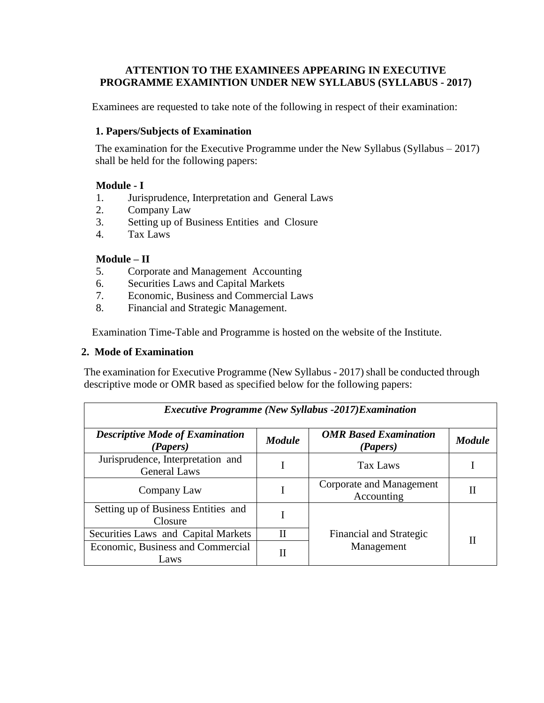## **ATTENTION TO THE EXAMINEES APPEARING IN EXECUTIVE PROGRAMME EXAMINTION UNDER NEW SYLLABUS (SYLLABUS - 2017)**

Examinees are requested to take note of the following in respect of their examination:

# **1. Papers/Subjects of Examination**

The examination for the Executive Programme under the New Syllabus (Syllabus – 2017) shall be held for the following papers:

## **Module - I**

- 1. Jurisprudence, Interpretation and General Laws
- 2. Company Law
- 3. Setting up of Business Entities and Closure
- 4. Tax Laws

## **Module – II**

- 5. Corporate and Management Accounting
- 6. Securities Laws and Capital Markets
- 7. Economic, Business and Commercial Laws
- 8. Financial and Strategic Management.

Examination Time-Table and Programme is hosted on the website of the Institute.

#### **2. Mode of Examination**

The examination for Executive Programme (New Syllabus - 2017) shall be conducted through descriptive mode or OMR based as specified below for the following papers:

| <b>Executive Programme (New Syllabus -2017) Examination</b> |               |                                          |               |  |
|-------------------------------------------------------------|---------------|------------------------------------------|---------------|--|
| <b>Descriptive Mode of Examination</b><br>(Papers)          | <b>Module</b> | <b>OMR</b> Based Examination<br>(Papers) | <b>Module</b> |  |
| Jurisprudence, Interpretation and<br><b>General Laws</b>    |               | Tax Laws                                 |               |  |
| Company Law                                                 |               | Corporate and Management<br>Accounting   | Н             |  |
| Setting up of Business Entities and<br>Closure              |               |                                          |               |  |
| Securities Laws and Capital Markets                         | $_{\rm II}$   | Financial and Strategic                  | Н             |  |
| Economic, Business and Commercial<br>Laws                   | Н             | Management                               |               |  |